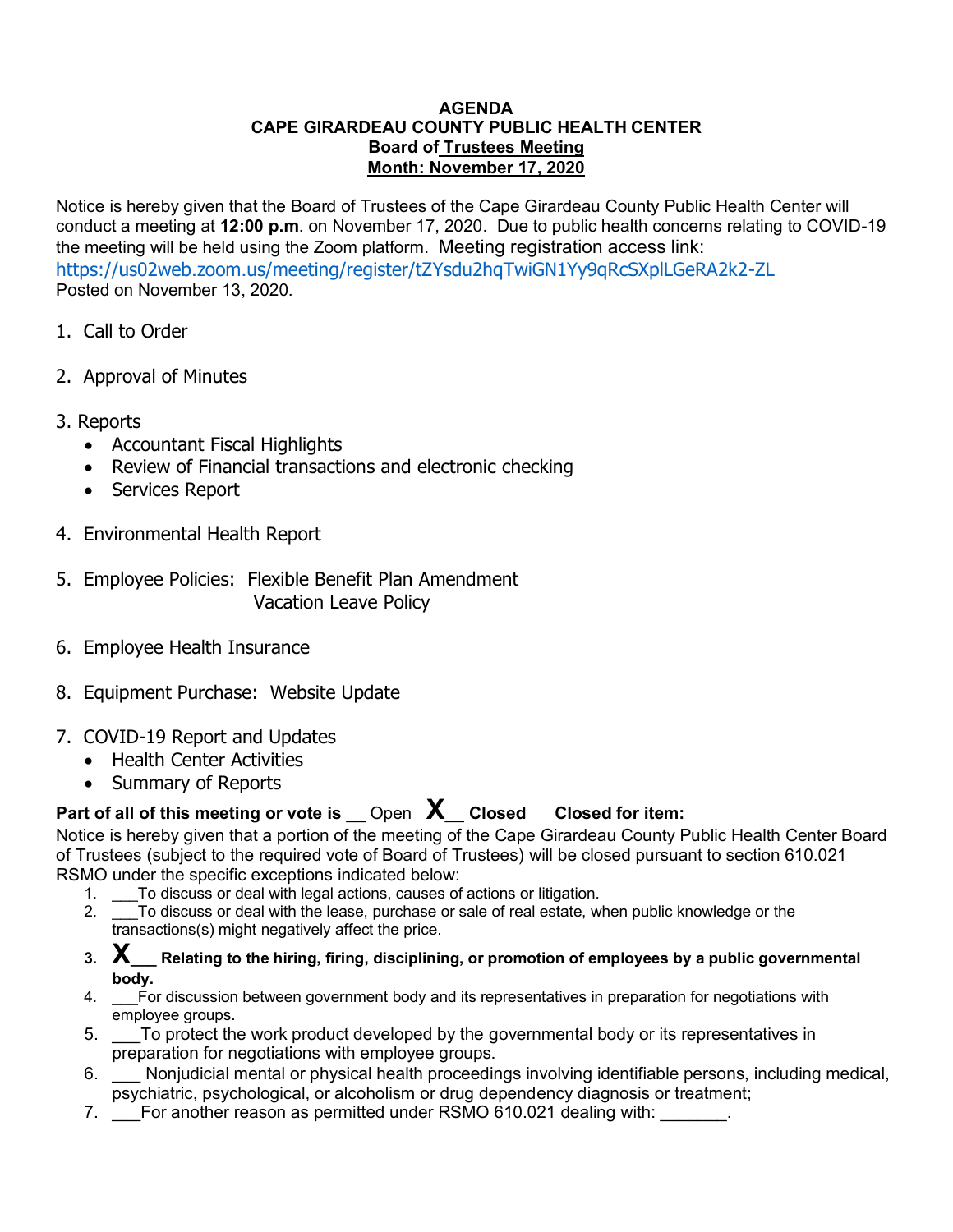## **AGENDA CAPE GIRARDEAU COUNTY PUBLIC HEALTH CENTER Board of Trustees Meeting Month: November 17, 2020**

Notice is hereby given that the Board of Trustees of the Cape Girardeau County Public Health Center will conduct a meeting at **12:00 p.m**. on November 17, 2020. Due to public health concerns relating to COVID-19 the meeting will be held using the Zoom platform. Meeting registration access link: <https://us02web.zoom.us/meeting/register/tZYsdu2hqTwiGN1Yy9qRcSXplLGeRA2k2-ZL> Posted on November 13, 2020.

- 1. Call to Order
- 2. Approval of Minutes
- 3. Reports
	- Accountant Fiscal Highlights
	- Review of Financial transactions and electronic checking
	- Services Report
- 4. Environmental Health Report
- 5. Employee Policies: Flexible Benefit Plan Amendment Vacation Leave Policy
- 6. Employee Health Insurance
- 8. Equipment Purchase: Website Update
- 7. COVID-19 Report and Updates
	- Health Center Activities
	- Summary of Reports

## **Part of all of this meeting or vote is** \_\_ Open **X\_\_ Closed Closed for item:**

Notice is hereby given that a portion of the meeting of the Cape Girardeau County Public Health Center Board of Trustees (subject to the required vote of Board of Trustees) will be closed pursuant to section 610.021 RSMO under the specific exceptions indicated below:

- 1. \_\_\_To discuss or deal with legal actions, causes of actions or litigation.
- 2. \_\_\_To discuss or deal with the lease, purchase or sale of real estate, when public knowledge or the transactions(s) might negatively affect the price.
- **3. X\_\_\_ Relating to the hiring, firing, disciplining, or promotion of employees by a public governmental body.**
- 4. \_\_\_For discussion between government body and its representatives in preparation for negotiations with employee groups.
- 5. \_\_\_To protect the work product developed by the governmental body or its representatives in preparation for negotiations with employee groups.
- 6. \_\_\_ Nonjudicial mental or physical health proceedings involving identifiable persons, including medical, psychiatric, psychological, or alcoholism or drug dependency diagnosis or treatment;
- 7. \_\_\_For another reason as permitted under RSMO 610.021 dealing with: \_\_\_\_\_\_\_.